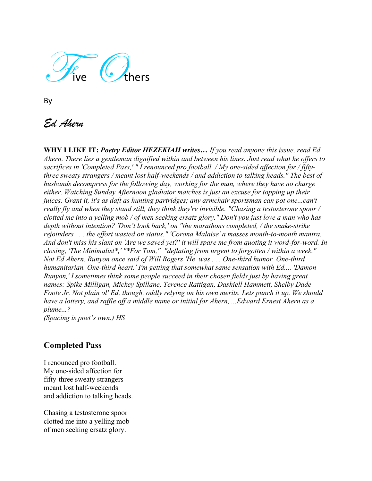Five Chers

# *Ed Ahern*

**WHY I LIKE IT:** *Poetry Editor HEZEKIAH writes… If you read anyone this issue, read Ed Ahern. There lies a gentleman dignified within and between his lines. Just read what he offers to sacrifices in 'Completed Pass,' " I renounced pro football. / My one-sided affection for / fiftythree sweaty strangers / meant lost half-weekends / and addiction to talking heads." The best of husbands decompress for the following day, working for the man, where they have no charge either. Watching Sunday Afternoon gladiator matches is just an excuse for topping up their juices. Grant it, it's as daft as hunting partridges; any armchair sportsman can pot one...can't really fly and when they stand still, they think they're invisible. "Chasing a testosterone spoor / clotted me into a yelling mob / of men seeking ersatz glory." Don't you just love a man who has depth without intention? 'Don't look back,' on "the marathons completed, / the snake-strike rejoinders . . . the effort wasted on status." 'Corona Malaise' a masses month-to-month mantra. And don't miss his slant on 'Are we saved yet?' it will spare me from quoting it word-for-word. In closing, 'The Minimalist\*,' "\*For Tom," "deflating from urgent to forgotten / within a week." Not Ed Ahern. Runyon once said of Will Rogers 'He was . . . One-third humor. One-third humanitarian. One-third heart.' I'm getting that somewhat same sensation with Ed.... 'Damon Runyon,' I sometimes think some people succeed in their chosen fields just by having great names: Spike Milligan, Mickey Spillane, Terence Rattigan, Dashiell Hammett, Shelby Dade Foote Jr. Not plain ol' Ed, though, oddly relying on his own merits. Lets punch it up. We should have a lottery, and raffle off a middle name or initial for Ahern, ...Edward Ernest Ahern as a plume...?*

*(Spacing is poet's own.) HS*

## **Completed Pass**

I renounced pro football. My one-sided affection for fifty-three sweaty strangers meant lost half-weekends and addiction to talking heads.

Chasing a testosterone spoor clotted me into a yelling mob of men seeking ersatz glory.

By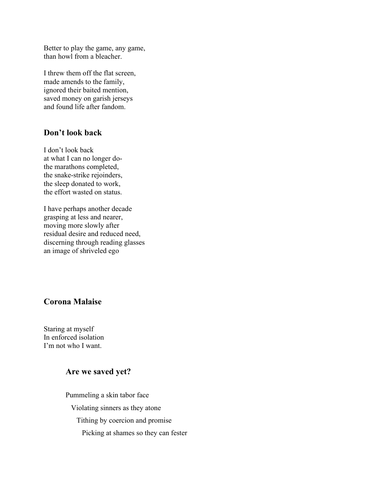Better to play the game, any game, than howl from a bleacher.

I threw them off the flat screen, made amends to the family, ignored their baited mention, saved money on garish jerseys and found life after fandom.

#### **Don't look back**

I don't look back at what I can no longer dothe marathons completed, the snake-strike rejoinders, the sleep donated to work, the effort wasted on status.

I have perhaps another decade grasping at less and nearer, moving more slowly after residual desire and reduced need, discerning through reading glasses an image of shriveled ego

### **Corona Malaise**

Staring at myself In enforced isolation I'm not who I want.

### **Are we saved yet?**

Pummeling a skin tabor face Violating sinners as they atone Tithing by coercion and promise Picking at shames so they can fester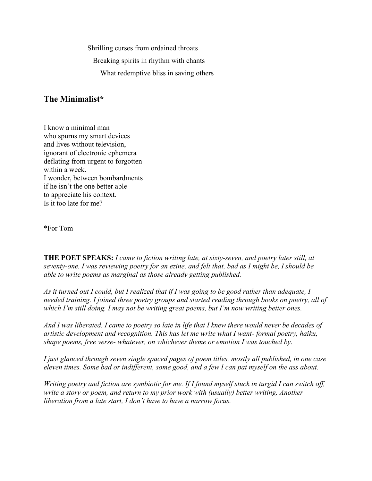Shrilling curses from ordained throats

Breaking spirits in rhythm with chants

What redemptive bliss in saving others

## **The Minimalist\***

I know a minimal man who spurns my smart devices and lives without television, ignorant of electronic ephemera deflating from urgent to forgotten within a week. I wonder, between bombardments if he isn't the one better able to appreciate his context. Is it too late for me?

\*For Tom

**THE POET SPEAKS:** *I came to fiction writing late, at sixty-seven, and poetry later still, at seventy-one. I was reviewing poetry for an ezine, and felt that, bad as I might be, I should be able to write poems as marginal as those already getting published.* 

*As it turned out I could, but I realized that if I was going to be good rather than adequate, I needed training. I joined three poetry groups and started reading through books on poetry, all of which I'm still doing. I may not be writing great poems, but I'm now writing better ones.* 

*And I was liberated. I came to poetry so late in life that I knew there would never be decades of artistic development and recognition. This has let me write what I want- formal poetry, haiku, shape poems, free verse- whatever, on whichever theme or emotion I was touched by.* 

*I just glanced through seven single spaced pages of poem titles, mostly all published, in one case eleven times. Some bad or indifferent, some good, and a few I can pat myself on the ass about.* 

*Writing poetry and fiction are symbiotic for me. If I found myself stuck in turgid I can switch off, write a story or poem, and return to my prior work with (usually) better writing. Another liberation from a late start, I don't have to have a narrow focus.*